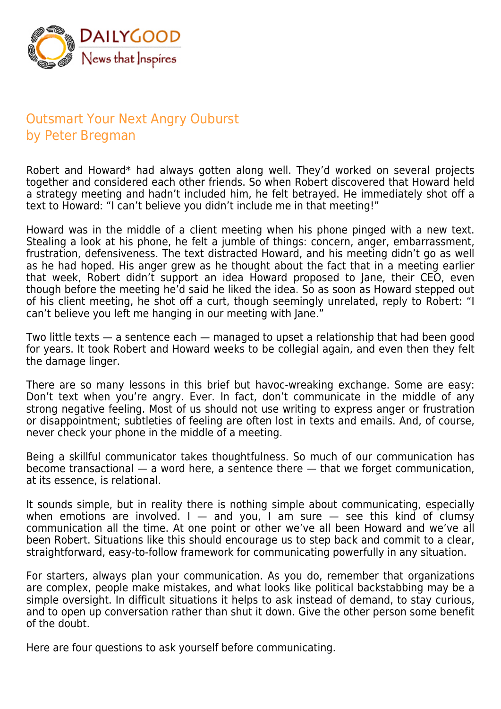

## Outsmart Your Next Angry Ouburst by Peter Bregman

Robert and Howard\* had always gotten along well. They'd worked on several projects together and considered each other friends. So when Robert discovered that Howard held a strategy meeting and hadn't included him, he felt betrayed. He immediately shot off a text to Howard: "I can't believe you didn't include me in that meeting!"

Howard was in the middle of a client meeting when his phone pinged with a new text. Stealing a look at his phone, he felt a jumble of things: concern, anger, embarrassment, frustration, defensiveness. The text distracted Howard, and his meeting didn't go as well as he had hoped. His anger grew as he thought about the fact that in a meeting earlier that week, Robert didn't support an idea Howard proposed to Jane, their CEO, even though before the meeting he'd said he liked the idea. So as soon as Howard stepped out of his client meeting, he shot off a curt, though seemingly unrelated, reply to Robert: "I can't believe you left me hanging in our meeting with Jane."

Two little texts — a sentence each — managed to upset a relationship that had been good for years. It took Robert and Howard weeks to be collegial again, and even then they felt the damage linger.

There are so many lessons in this brief but havoc-wreaking exchange. Some are easy: Don't text when you're angry. Ever. In fact, don't communicate in the middle of any strong negative feeling. Most of us should not use writing to express anger or frustration or disappointment; subtleties of feeling are often lost in texts and emails. And, of course, never check your phone in the middle of a meeting.

Being a skillful communicator takes thoughtfulness. So much of our communication has become transactional — a word here, a sentence there — that we forget communication, at its essence, is relational.

It sounds simple, but in reality there is nothing simple about communicating, especially when emotions are involved.  $I -$  and you, I am sure  $-$  see this kind of clumsy communication all the time. At one point or other we've all been Howard and we've all been Robert. Situations like this should encourage us to step back and commit to a clear, straightforward, easy-to-follow framework for communicating powerfully in any situation.

For starters, always plan your communication. As you do, remember that organizations are complex, people make mistakes, and what looks like political backstabbing may be a simple oversight. In difficult situations it helps to ask instead of demand, to stay curious, and to open up conversation rather than shut it down. Give the other person some benefit of the doubt.

Here are four questions to ask yourself before communicating.